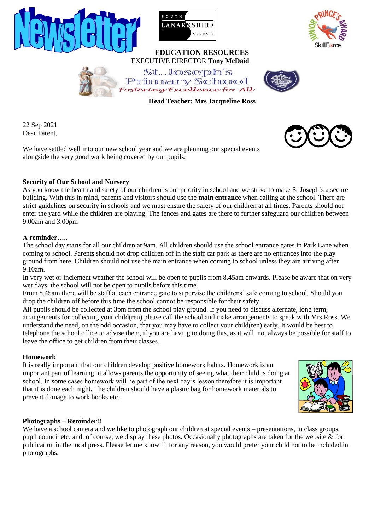



### **EDUCATION RESOURCES** EXECUTIVE DIRECTOR **Tony McDaid**





 **Head Teacher: Mrs Jacqueline Ross**

22 Sep 2021 Dear Parent,

We have settled well into our new school year and we are planning our special events alongside the very good work being covered by our pupils.

# **Security of Our School and Nursery**

As you know the health and safety of our children is our priority in school and we strive to make St Joseph's a secure building. With this in mind, parents and visitors should use the **main entrance** when calling at the school. There are strict guidelines on security in schools and we must ensure the safety of our children at all times. Parents should not enter the yard while the children are playing. The fences and gates are there to further safeguard our children between 9.00am and 3.00pm

### **A reminder…..**

The school day starts for all our children at 9am. All children should use the school entrance gates in Park Lane when coming to school. Parents should not drop children off in the staff car park as there are no entrances into the play ground from here. Children should not use the main entrance when coming to school unless they are arriving after 9.10am.

In very wet or inclement weather the school will be open to pupils from 8.45am onwards. Please be aware that on very wet days the school will not be open to pupils before this time.

From 8.45am there will be staff at each entrance gate to supervise the childrens' safe coming to school. Should you drop the children off before this time the school cannot be responsible for their safety.

All pupils should be collected at 3pm from the school play ground. If you need to discuss alternate, long term, arrangements for collecting your child(ren) please call the school and make arrangements to speak with Mrs Ross. We understand the need, on the odd occasion, that you may have to collect your child(ren) early. It would be best to telephone the school office to advise them, if you are having to doing this, as it will not always be possible for staff to leave the office to get children from their classes.

# **Homework**

It is really important that our children develop positive homework habits. Homework is an important part of learning, it allows parents the opportunity of seeing what their child is doing at school. In some cases homework will be part of the next day's lesson therefore it is important that it is done each night. The children should have a plastic bag for homework materials to prevent damage to work books etc.



# **Photographs – Reminder!!**

We have a school camera and we like to photograph our children at special events – presentations, in class groups, pupil council etc. and, of course, we display these photos. Occasionally photographs are taken for the website & for publication in the local press. Please let me know if, for any reason, you would prefer your child not to be included in photographs.